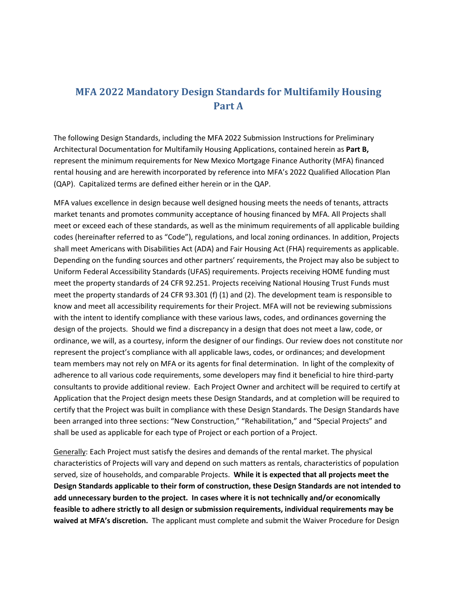# **MFA 2022 Mandatory Design Standards for Multifamily Housing Part A**

The following Design Standards, including the MFA 2022 Submission Instructions for Preliminary Architectural Documentation for Multifamily Housing Applications, contained herein as **Part B,** represent the minimum requirements for New Mexico Mortgage Finance Authority (MFA) financed rental housing and are herewith incorporated by reference into MFA's 2022 Qualified Allocation Plan (QAP). Capitalized terms are defined either herein or in the QAP.

MFA values excellence in design because well designed housing meets the needs of tenants, attracts market tenants and promotes community acceptance of housing financed by MFA. All Projects shall meet or exceed each of these standards, as well as the minimum requirements of all applicable building codes (hereinafter referred to as "Code"), regulations, and local zoning ordinances. In addition, Projects shall meet Americans with Disabilities Act (ADA) and Fair Housing Act (FHA) requirements as applicable. Depending on the funding sources and other partners' requirements, the Project may also be subject to Uniform Federal Accessibility Standards (UFAS) requirements. Projects receiving HOME funding must meet the property standards of 24 CFR 92.251. Projects receiving National Housing Trust Funds must meet the property standards of 24 CFR 93.301 (f) (1) and (2). The development team is responsible to know and meet all accessibility requirements for their Project. MFA will not be reviewing submissions with the intent to identify compliance with these various laws, codes, and ordinances governing the design of the projects. Should we find a discrepancy in a design that does not meet a law, code, or ordinance, we will, as a courtesy, inform the designer of our findings. Our review does not constitute nor represent the project's compliance with all applicable laws, codes, or ordinances; and development team members may not rely on MFA or its agents for final determination. In light of the complexity of adherence to all various code requirements, some developers may find it beneficial to hire third-party consultants to provide additional review. Each Project Owner and architect will be required to certify at Application that the Project design meets these Design Standards, and at completion will be required to certify that the Project was built in compliance with these Design Standards. The Design Standards have been arranged into three sections: "New Construction," "Rehabilitation," and "Special Projects" and shall be used as applicable for each type of Project or each portion of a Project.

Generally: Each Project must satisfy the desires and demands of the rental market. The physical characteristics of Projects will vary and depend on such matters as rentals, characteristics of population served, size of households, and comparable Projects. **While it is expected that all projects meet the Design Standards applicable to their form of construction, these Design Standards are not intended to add unnecessary burden to the project. In cases where it is not technically and/or economically feasible to adhere strictly to all design or submission requirements, individual requirements may be waived at MFA's discretion.** The applicant must complete and submit the Waiver Procedure for Design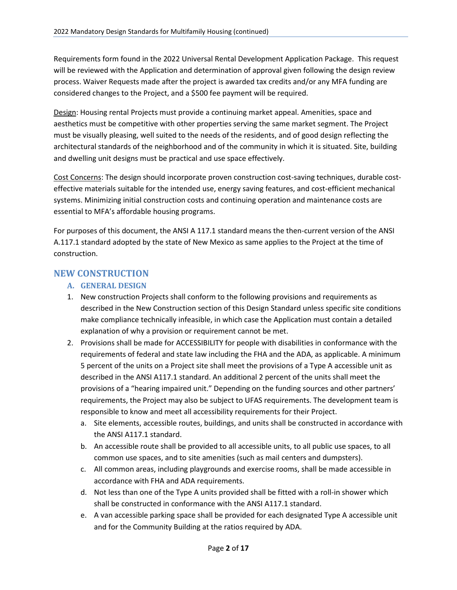Requirements form found in the 2022 Universal Rental Development Application Package. This request will be reviewed with the Application and determination of approval given following the design review process. Waiver Requests made after the project is awarded tax credits and/or any MFA funding are considered changes to the Project, and a \$500 fee payment will be required.

Design: Housing rental Projects must provide a continuing market appeal. Amenities, space and aesthetics must be competitive with other properties serving the same market segment. The Project must be visually pleasing, well suited to the needs of the residents, and of good design reflecting the architectural standards of the neighborhood and of the community in which it is situated. Site, building and dwelling unit designs must be practical and use space effectively.

Cost Concerns: The design should incorporate proven construction cost-saving techniques, durable costeffective materials suitable for the intended use, energy saving features, and cost-efficient mechanical systems. Minimizing initial construction costs and continuing operation and maintenance costs are essential to MFA's affordable housing programs.

For purposes of this document, the ANSI A 117.1 standard means the then-current version of the ANSI A.117.1 standard adopted by the state of New Mexico as same applies to the Project at the time of construction.

## **NEW CONSTRUCTION**

## **A. GENERAL DESIGN**

- 1. New construction Projects shall conform to the following provisions and requirements as described in the New Construction section of this Design Standard unless specific site conditions make compliance technically infeasible, in which case the Application must contain a detailed explanation of why a provision or requirement cannot be met.
- 2. Provisions shall be made for ACCESSIBILITY for people with disabilities in conformance with the requirements of federal and state law including the FHA and the ADA, as applicable. A minimum 5 percent of the units on a Project site shall meet the provisions of a Type A accessible unit as described in the ANSI A117.1 standard. An additional 2 percent of the units shall meet the provisions of a "hearing impaired unit." Depending on the funding sources and other partners' requirements, the Project may also be subject to UFAS requirements. The development team is responsible to know and meet all accessibility requirements for their Project.
	- a. Site elements, accessible routes, buildings, and units shall be constructed in accordance with the ANSI A117.1 standard.
	- b. An accessible route shall be provided to all accessible units, to all public use spaces, to all common use spaces, and to site amenities (such as mail centers and dumpsters).
	- c. All common areas, including playgrounds and exercise rooms, shall be made accessible in accordance with FHA and ADA requirements.
	- d. Not less than one of the Type A units provided shall be fitted with a roll-in shower which shall be constructed in conformance with the ANSI A117.1 standard.
	- e. A van accessible parking space shall be provided for each designated Type A accessible unit and for the Community Building at the ratios required by ADA.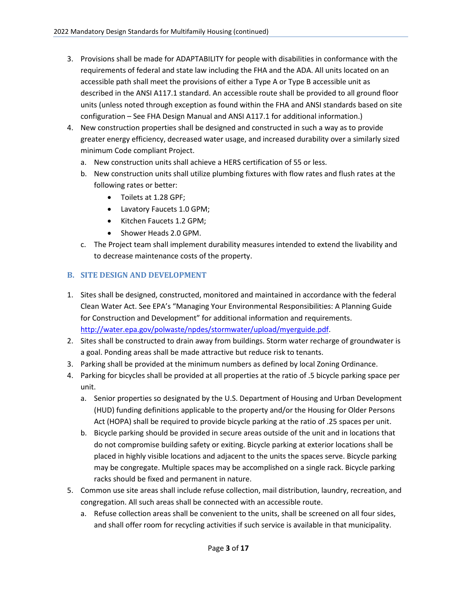- 3. Provisions shall be made for ADAPTABILITY for people with disabilities in conformance with the requirements of federal and state law including the FHA and the ADA. All units located on an accessible path shall meet the provisions of either a Type A or Type B accessible unit as described in the ANSI A117.1 standard. An accessible route shall be provided to all ground floor units (unless noted through exception as found within the FHA and ANSI standards based on site configuration – See FHA Design Manual and ANSI A117.1 for additional information.)
- 4. New construction properties shall be designed and constructed in such a way as to provide greater energy efficiency, decreased water usage, and increased durability over a similarly sized minimum Code compliant Project.
	- a. New construction units shall achieve a HERS certification of 55 or less.
	- b. New construction units shall utilize plumbing fixtures with flow rates and flush rates at the following rates or better:
		- Toilets at 1.28 GPF;
		- Lavatory Faucets 1.0 GPM;
		- Kitchen Faucets 1.2 GPM;
		- Shower Heads 2.0 GPM.
	- c. The Project team shall implement durability measures intended to extend the livability and to decrease maintenance costs of the property.

#### **B. SITE DESIGN AND DEVELOPMENT**

- 1. Sites shall be designed, constructed, monitored and maintained in accordance with the federal Clean Water Act. See EPA's "Managing Your Environmental Responsibilities: A Planning Guide for Construction and Development" for additional information and requirements. [http://water.epa.gov/polwaste/npdes/stormwater/upload/myerguide.pdf.](http://water.epa.gov/polwaste/npdes/stormwater/upload/myerguide.pdf)
- 2. Sites shall be constructed to drain away from buildings. Storm water recharge of groundwater is a goal. Ponding areas shall be made attractive but reduce risk to tenants.
- 3. Parking shall be provided at the minimum numbers as defined by local Zoning Ordinance.
- 4. Parking for bicycles shall be provided at all properties at the ratio of .5 bicycle parking space per unit.
	- a. Senior properties so designated by the U.S. Department of Housing and Urban Development (HUD) funding definitions applicable to the property and/or the Housing for Older Persons Act (HOPA) shall be required to provide bicycle parking at the ratio of .25 spaces per unit.
	- b. Bicycle parking should be provided in secure areas outside of the unit and in locations that do not compromise building safety or exiting. Bicycle parking at exterior locations shall be placed in highly visible locations and adjacent to the units the spaces serve. Bicycle parking may be congregate. Multiple spaces may be accomplished on a single rack. Bicycle parking racks should be fixed and permanent in nature.
- 5. Common use site areas shall include refuse collection, mail distribution, laundry, recreation, and congregation. All such areas shall be connected with an accessible route.
	- a. Refuse collection areas shall be convenient to the units, shall be screened on all four sides, and shall offer room for recycling activities if such service is available in that municipality.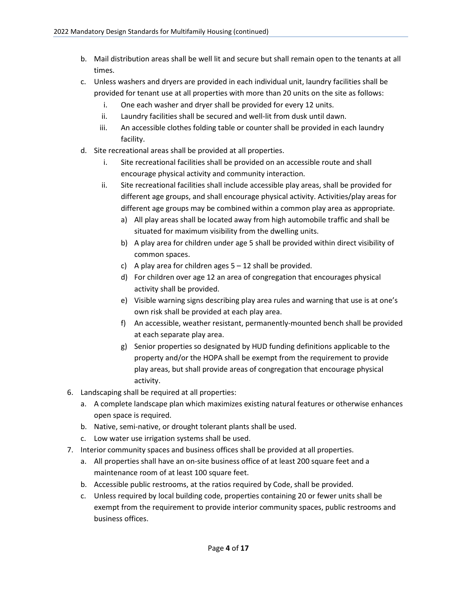- b. Mail distribution areas shall be well lit and secure but shall remain open to the tenants at all times.
- c. Unless washers and dryers are provided in each individual unit, laundry facilities shall be provided for tenant use at all properties with more than 20 units on the site as follows:
	- i. One each washer and dryer shall be provided for every 12 units.
	- ii. Laundry facilities shall be secured and well-lit from dusk until dawn.
	- iii. An accessible clothes folding table or counter shall be provided in each laundry facility.
- d. Site recreational areas shall be provided at all properties.
	- i. Site recreational facilities shall be provided on an accessible route and shall encourage physical activity and community interaction.
	- ii. Site recreational facilities shall include accessible play areas, shall be provided for different age groups, and shall encourage physical activity. Activities/play areas for different age groups may be combined within a common play area as appropriate.
		- a) All play areas shall be located away from high automobile traffic and shall be situated for maximum visibility from the dwelling units.
		- b) A play area for children under age 5 shall be provided within direct visibility of common spaces.
		- c) A play area for children ages  $5 12$  shall be provided.
		- d) For children over age 12 an area of congregation that encourages physical activity shall be provided.
		- e) Visible warning signs describing play area rules and warning that use is at one's own risk shall be provided at each play area.
		- f) An accessible, weather resistant, permanently-mounted bench shall be provided at each separate play area.
		- g) Senior properties so designated by HUD funding definitions applicable to the property and/or the HOPA shall be exempt from the requirement to provide play areas, but shall provide areas of congregation that encourage physical activity.
- 6. Landscaping shall be required at all properties:
	- a. A complete landscape plan which maximizes existing natural features or otherwise enhances open space is required.
	- b. Native, semi-native, or drought tolerant plants shall be used.
	- c. Low water use irrigation systems shall be used.
- 7. Interior community spaces and business offices shall be provided at all properties.
	- a. All properties shall have an on-site business office of at least 200 square feet and a maintenance room of at least 100 square feet.
	- b. Accessible public restrooms, at the ratios required by Code, shall be provided.
	- c. Unless required by local building code, properties containing 20 or fewer units shall be exempt from the requirement to provide interior community spaces, public restrooms and business offices.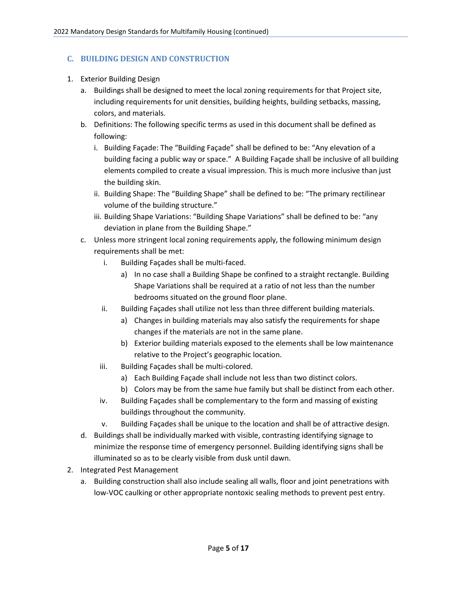#### **C. BUILDING DESIGN AND CONSTRUCTION**

- 1. Exterior Building Design
	- a. Buildings shall be designed to meet the local zoning requirements for that Project site, including requirements for unit densities, building heights, building setbacks, massing, colors, and materials.
	- b. Definitions: The following specific terms as used in this document shall be defined as following:
		- i. Building Façade: The "Building Façade" shall be defined to be: "Any elevation of a building facing a public way or space." A Building Façade shall be inclusive of all building elements compiled to create a visual impression. This is much more inclusive than just the building skin.
		- ii. Building Shape: The "Building Shape" shall be defined to be: "The primary rectilinear volume of the building structure."
		- iii. Building Shape Variations: "Building Shape Variations" shall be defined to be: "any deviation in plane from the Building Shape."
	- c. Unless more stringent local zoning requirements apply, the following minimum design requirements shall be met:
		- i. Building Façades shall be multi-faced.
			- a) In no case shall a Building Shape be confined to a straight rectangle. Building Shape Variations shall be required at a ratio of not less than the number bedrooms situated on the ground floor plane.
		- ii. Building Façades shall utilize not less than three different building materials.
			- a) Changes in building materials may also satisfy the requirements for shape changes if the materials are not in the same plane.
			- b) Exterior building materials exposed to the elements shall be low maintenance relative to the Project's geographic location.
		- iii. Building Façades shall be multi-colored.
			- a) Each Building Façade shall include not less than two distinct colors.
			- b) Colors may be from the same hue family but shall be distinct from each other.
		- iv. Building Façades shall be complementary to the form and massing of existing buildings throughout the community.
		- v. Building Façades shall be unique to the location and shall be of attractive design.
	- d. Buildings shall be individually marked with visible, contrasting identifying signage to minimize the response time of emergency personnel. Building identifying signs shall be illuminated so as to be clearly visible from dusk until dawn.
- 2. Integrated Pest Management
	- a. Building construction shall also include sealing all walls, floor and joint penetrations with low-VOC caulking or other appropriate nontoxic sealing methods to prevent pest entry.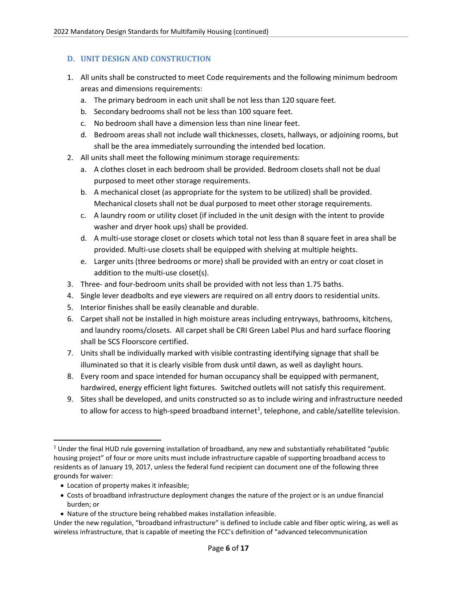#### **D. UNIT DESIGN AND CONSTRUCTION**

- 1. All units shall be constructed to meet Code requirements and the following minimum bedroom areas and dimensions requirements:
	- a. The primary bedroom in each unit shall be not less than 120 square feet.
	- b. Secondary bedrooms shall not be less than 100 square feet.
	- c. No bedroom shall have a dimension less than nine linear feet.
	- d. Bedroom areas shall not include wall thicknesses, closets, hallways, or adjoining rooms, but shall be the area immediately surrounding the intended bed location.
- 2. All units shall meet the following minimum storage requirements:
	- a. A clothes closet in each bedroom shall be provided. Bedroom closets shall not be dual purposed to meet other storage requirements.
	- b. A mechanical closet (as appropriate for the system to be utilized) shall be provided. Mechanical closets shall not be dual purposed to meet other storage requirements.
	- c. A laundry room or utility closet (if included in the unit design with the intent to provide washer and dryer hook ups) shall be provided.
	- d. A multi-use storage closet or closets which total not less than 8 square feet in area shall be provided. Multi-use closets shall be equipped with shelving at multiple heights.
	- e. Larger units (three bedrooms or more) shall be provided with an entry or coat closet in addition to the multi-use closet(s).
- 3. Three- and four-bedroom units shall be provided with not less than 1.75 baths.
- 4. Single lever deadbolts and eye viewers are required on all entry doors to residential units.
- 5. Interior finishes shall be easily cleanable and durable.
- 6. Carpet shall not be installed in high moisture areas including entryways, bathrooms, kitchens, and laundry rooms/closets. All carpet shall be CRI Green Label Plus and hard surface flooring shall be SCS Floorscore certified.
- 7. Units shall be individually marked with visible contrasting identifying signage that shall be illuminated so that it is clearly visible from dusk until dawn, as well as daylight hours.
- 8. Every room and space intended for human occupancy shall be equipped with permanent, hardwired, energy efficient light fixtures. Switched outlets will not satisfy this requirement.
- 9. Sites shall be developed, and units constructed so as to include wiring and infrastructure needed to allow for access to high-speed broadband internet<sup>[1](#page-5-0)</sup>, telephone, and cable/satellite television.

- Location of property makes it infeasible;
- Costs of broadband infrastructure deployment changes the nature of the project or is an undue financial burden; or
- Nature of the structure being rehabbed makes installation infeasible.

<span id="page-5-0"></span><sup>1</sup> Under the final HUD rule governing installation of broadband, any new and substantially rehabilitated "public housing project" of four or more units must include infrastructure capable of supporting broadband access to residents as of January 19, 2017, unless the federal fund recipient can document one of the following three grounds for waiver:

Under the new regulation, "broadband infrastructure" is defined to include cable and fiber optic wiring, as well as wireless infrastructure, that is capable of meeting the FCC's definition of "advanced telecommunication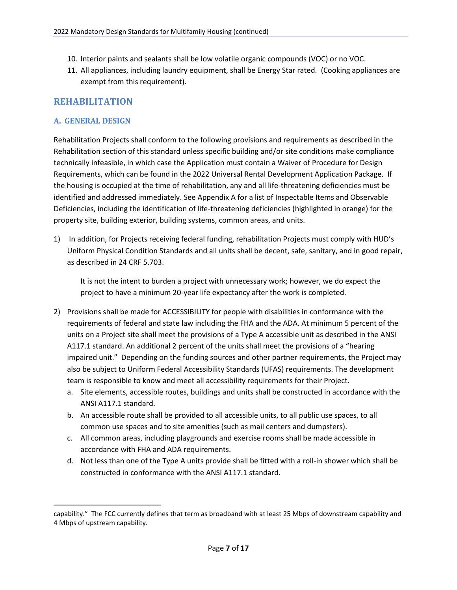- 10. Interior paints and sealants shall be low volatile organic compounds (VOC) or no VOC.
- 11. All appliances, including laundry equipment, shall be Energy Star rated. (Cooking appliances are exempt from this requirement).

## **REHABILITATION**

#### **A. GENERAL DESIGN**

Rehabilitation Projects shall conform to the following provisions and requirements as described in the Rehabilitation section of this standard unless specific building and/or site conditions make compliance technically infeasible, in which case the Application must contain a Waiver of Procedure for Design Requirements, which can be found in the 2022 Universal Rental Development Application Package. If the housing is occupied at the time of rehabilitation, any and all life-threatening deficiencies must be identified and addressed immediately. See Appendix A for a list of Inspectable Items and Observable Deficiencies, including the identification of life-threatening deficiencies (highlighted in orange) for the property site, building exterior, building systems, common areas, and units.

1) In addition, for Projects receiving federal funding, rehabilitation Projects must comply with HUD's Uniform Physical Condition Standards and all units shall be decent, safe, sanitary, and in good repair, as described in 24 CRF 5.703.

It is not the intent to burden a project with unnecessary work; however, we do expect the project to have a minimum 20-year life expectancy after the work is completed.

- 2) Provisions shall be made for ACCESSIBILITY for people with disabilities in conformance with the requirements of federal and state law including the FHA and the ADA. At minimum 5 percent of the units on a Project site shall meet the provisions of a Type A accessible unit as described in the ANSI A117.1 standard. An additional 2 percent of the units shall meet the provisions of a "hearing impaired unit." Depending on the funding sources and other partner requirements, the Project may also be subject to Uniform Federal Accessibility Standards (UFAS) requirements. The development team is responsible to know and meet all accessibility requirements for their Project.
	- a. Site elements, accessible routes, buildings and units shall be constructed in accordance with the ANSI A117.1 standard.
	- b. An accessible route shall be provided to all accessible units, to all public use spaces, to all common use spaces and to site amenities (such as mail centers and dumpsters).
	- c. All common areas, including playgrounds and exercise rooms shall be made accessible in accordance with FHA and ADA requirements.
	- d. Not less than one of the Type A units provide shall be fitted with a roll-in shower which shall be constructed in conformance with the ANSI A117.1 standard.

capability." The FCC currently defines that term as broadband with at least 25 Mbps of downstream capability and 4 Mbps of upstream capability.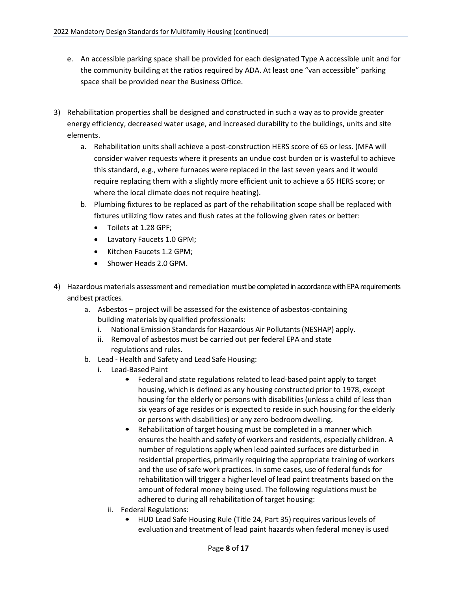- e. An accessible parking space shall be provided for each designated Type A accessible unit and for the community building at the ratios required by ADA. At least one "van accessible" parking space shall be provided near the Business Office.
- 3) Rehabilitation properties shall be designed and constructed in such a way as to provide greater energy efficiency, decreased water usage, and increased durability to the buildings, units and site elements.
	- a. Rehabilitation units shall achieve a post-construction HERS score of 65 or less. (MFA will consider waiver requests where it presents an undue cost burden or is wasteful to achieve this standard, e.g., where furnaces were replaced in the last seven years and it would require replacing them with a slightly more efficient unit to achieve a 65 HERS score; or where the local climate does not require heating).
	- b. Plumbing fixtures to be replaced as part of the rehabilitation scope shall be replaced with fixtures utilizing flow rates and flush rates at the following given rates or better:
		- Toilets at 1.28 GPF;
		- Lavatory Faucets 1.0 GPM;
		- Kitchen Faucets 1.2 GPM;
		- Shower Heads 2.0 GPM.
- 4) Hazardous materials assessment and remediation must be completed in accordance with EPA requirements and best practices.
	- a. Asbestos project will be assessed for the existence of asbestos-containing building materials by qualified professionals:
		- i. National Emission Standards for Hazardous Air Pollutants (NESHAP) apply.
		- ii. Removal of asbestos must be carried out per federal EPA and state regulations and rules.
	- b. Lead Health and Safety and Lead Safe Housing:
		- i. Lead-Based Paint
			- Federal and state regulations related to lead-based paint apply to target housing, which is defined as any housing constructed prior to 1978, except housing for the elderly or persons with disabilities (unless a child of less than six years of age resides or is expected to reside in such housing for the elderly or persons with disabilities) or any zero-bedroom dwelling.
			- Rehabilitation of target housing must be completed in a manner which ensures the health and safety of workers and residents, especially children. A number of regulations apply when lead painted surfaces are disturbed in residential properties, primarily requiring the appropriate training of workers and the use of safe work practices. In some cases, use of federal funds for rehabilitation will trigger a higher level of lead paint treatments based on the amount of federal money being used. The following regulations must be adhered to during all rehabilitation of target housing:
			- ii. Federal Regulations:
				- HUD Lead Safe Housing Rule (Title 24, Part 35) requires various levels of evaluation and treatment of lead paint hazards when federal money is used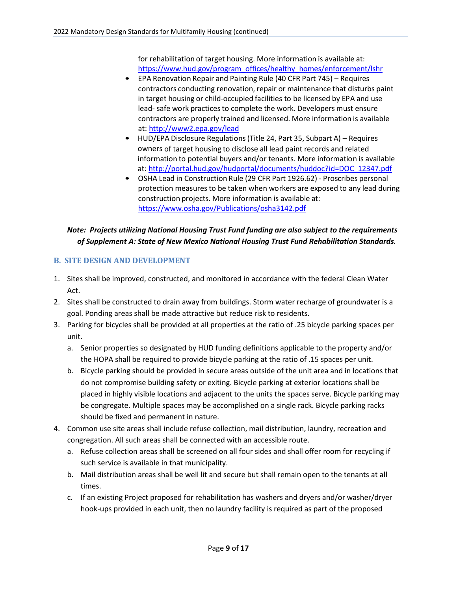for rehabilitation of target housing. More information is available at: https://www.hud.gov/program\_offices/healthy\_homes/enforcement/lshr

- EPA Renovation Repair and Painting Rule (40 CFR Part 745) Requires contractors conducting renovation, repair or maintenance that disturbs paint in target housing or child-occupied facilities to be licensed by EPA and use lead- safe work practices to complete the work. Developers must ensure contractors are properly trained and licensed. More information is available at[: http://www2.epa.gov/lead](http://www2.epa.gov/lead)
- HUD/EPA Disclosure Regulations (Title 24, Part 35, Subpart A) Requires owners of target housing to disclose all lead paint records and related information to potential buyers and/or tenants. More information is available at: [http://portal.hud.gov/hudportal/documents/huddoc?id=DOC\\_12347.pdf](http://portal.hud.gov/hudportal/documents/huddoc?id=DOC_12347.pdf)
- OSHA Lead in Construction Rule (29 CFR Part 1926.62) Proscribes personal protection measures to be taken when workers are exposed to any lead during construction projects. More information is available at: <https://www.osha.gov/Publications/osha3142.pdf>

## *Note: Projects utilizing National Housing Trust Fund funding are also subject to the requirements of Supplement A: State of New Mexico National Housing Trust Fund Rehabilitation Standards.*

## **B. SITE DESIGN AND DEVELOPMENT**

- 1. Sites shall be improved, constructed, and monitored in accordance with the federal Clean Water Act.
- 2. Sites shall be constructed to drain away from buildings. Storm water recharge of groundwater is a goal. Ponding areas shall be made attractive but reduce risk to residents.
- 3. Parking for bicycles shall be provided at all properties at the ratio of .25 bicycle parking spaces per unit.
	- a. Senior properties so designated by HUD funding definitions applicable to the property and/or the HOPA shall be required to provide bicycle parking at the ratio of .15 spaces per unit.
	- b. Bicycle parking should be provided in secure areas outside of the unit area and in locations that do not compromise building safety or exiting. Bicycle parking at exterior locations shall be placed in highly visible locations and adjacent to the units the spaces serve. Bicycle parking may be congregate. Multiple spaces may be accomplished on a single rack. Bicycle parking racks should be fixed and permanent in nature.
- 4. Common use site areas shall include refuse collection, mail distribution, laundry, recreation and congregation. All such areas shall be connected with an accessible route.
	- a. Refuse collection areas shall be screened on all four sides and shall offer room for recycling if such service is available in that municipality.
	- b. Mail distribution areas shall be well lit and secure but shall remain open to the tenants at all times.
	- c. If an existing Project proposed for rehabilitation has washers and dryers and/or washer/dryer hook-ups provided in each unit, then no laundry facility is required as part of the proposed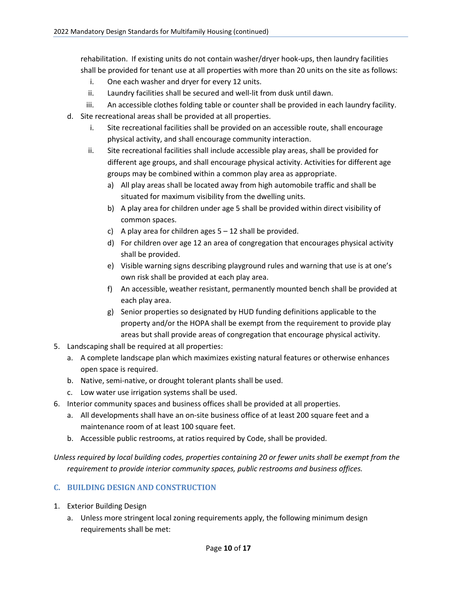rehabilitation. If existing units do not contain washer/dryer hook-ups, then laundry facilities shall be provided for tenant use at all properties with more than 20 units on the site as follows:

- i. One each washer and dryer for every 12 units.
- ii. Laundry facilities shall be secured and well-lit from dusk until dawn.
- iii. An accessible clothes folding table or counter shall be provided in each laundry facility.
- d. Site recreational areas shall be provided at all properties.
	- i. Site recreational facilities shall be provided on an accessible route, shall encourage physical activity, and shall encourage community interaction.
	- ii. Site recreational facilities shall include accessible play areas, shall be provided for different age groups, and shall encourage physical activity. Activities for different age groups may be combined within a common play area as appropriate.
		- a) All play areas shall be located away from high automobile traffic and shall be situated for maximum visibility from the dwelling units.
		- b) A play area for children under age 5 shall be provided within direct visibility of common spaces.
		- c) A play area for children ages  $5 12$  shall be provided.
		- d) For children over age 12 an area of congregation that encourages physical activity shall be provided.
		- e) Visible warning signs describing playground rules and warning that use is at one's own risk shall be provided at each play area.
		- f) An accessible, weather resistant, permanently mounted bench shall be provided at each play area.
		- g) Senior properties so designated by HUD funding definitions applicable to the property and/or the HOPA shall be exempt from the requirement to provide play areas but shall provide areas of congregation that encourage physical activity.
- 5. Landscaping shall be required at all properties:
	- a. A complete landscape plan which maximizes existing natural features or otherwise enhances open space is required.
	- b. Native, semi-native, or drought tolerant plants shall be used.
	- c. Low water use irrigation systems shall be used.
- 6. Interior community spaces and business offices shall be provided at all properties.
	- a. All developments shall have an on-site business office of at least 200 square feet and a maintenance room of at least 100 square feet.
	- b. Accessible public restrooms, at ratios required by Code, shall be provided.

*Unless required by local building codes, properties containing 20 or fewer units shall be exempt from the requirement to provide interior community spaces, public restrooms and business offices.* 

## **C. BUILDING DESIGN AND CONSTRUCTION**

- 1. Exterior Building Design
	- a. Unless more stringent local zoning requirements apply, the following minimum design requirements shall be met: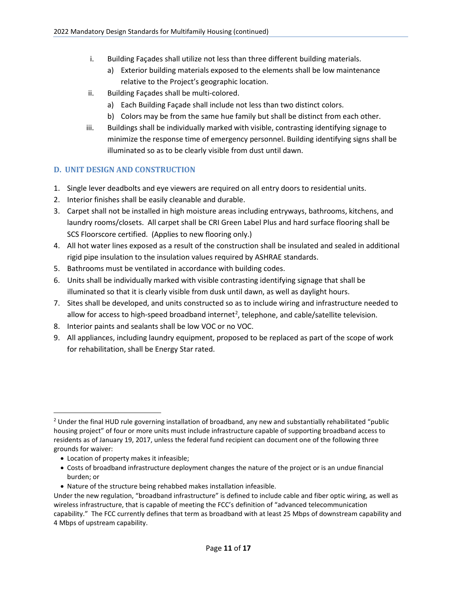- i. Building Façades shall utilize not less than three different building materials.
	- a) Exterior building materials exposed to the elements shall be low maintenance relative to the Project's geographic location.
- ii. Building Façades shall be multi-colored.
	- a) Each Building Façade shall include not less than two distinct colors.
	- b) Colors may be from the same hue family but shall be distinct from each other.
- iii. Buildings shall be individually marked with visible, contrasting identifying signage to minimize the response time of emergency personnel. Building identifying signs shall be illuminated so as to be clearly visible from dust until dawn.

## **D. UNIT DESIGN AND CONSTRUCTION**

- 1. Single lever deadbolts and eye viewers are required on all entry doors to residential units.
- 2. Interior finishes shall be easily cleanable and durable.
- 3. Carpet shall not be installed in high moisture areas including entryways, bathrooms, kitchens, and laundry rooms/closets. All carpet shall be CRI Green Label Plus and hard surface flooring shall be SCS Floorscore certified. (Applies to new flooring only.)
- 4. All hot water lines exposed as a result of the construction shall be insulated and sealed in additional rigid pipe insulation to the insulation values required by ASHRAE standards.
- 5. Bathrooms must be ventilated in accordance with building codes.
- 6. Units shall be individually marked with visible contrasting identifying signage that shall be illuminated so that it is clearly visible from dusk until dawn, as well as daylight hours.
- 7. Sites shall be developed, and units constructed so as to include wiring and infrastructure needed to allow for access to high-speed broadband internet<sup>[2](#page-10-0)</sup>, telephone, and cable/satellite television.
- 8. Interior paints and sealants shall be low VOC or no VOC.
- 9. All appliances, including laundry equipment, proposed to be replaced as part of the scope of work for rehabilitation, shall be Energy Star rated.

- Location of property makes it infeasible;
- Costs of broadband infrastructure deployment changes the nature of the project or is an undue financial burden; or
- Nature of the structure being rehabbed makes installation infeasible.

<span id="page-10-0"></span><sup>&</sup>lt;sup>2</sup> Under the final HUD rule governing installation of broadband, any new and substantially rehabilitated "public housing project" of four or more units must include infrastructure capable of supporting broadband access to residents as of January 19, 2017, unless the federal fund recipient can document one of the following three grounds for waiver:

Under the new regulation, "broadband infrastructure" is defined to include cable and fiber optic wiring, as well as wireless infrastructure, that is capable of meeting the FCC's definition of "advanced telecommunication capability." The FCC currently defines that term as broadband with at least 25 Mbps of downstream capability and 4 Mbps of upstream capability.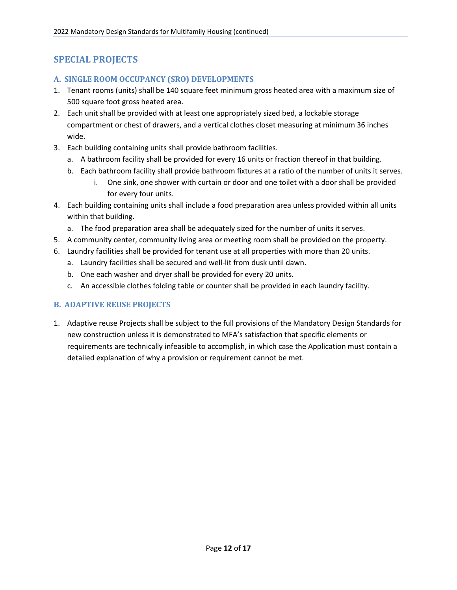# **SPECIAL PROJECTS**

#### **A. SINGLE ROOM OCCUPANCY (SRO) DEVELOPMENTS**

- 1. Tenant rooms (units) shall be 140 square feet minimum gross heated area with a maximum size of 500 square foot gross heated area.
- 2. Each unit shall be provided with at least one appropriately sized bed, a lockable storage compartment or chest of drawers, and a vertical clothes closet measuring at minimum 36 inches wide.
- 3. Each building containing units shall provide bathroom facilities.
	- a. A bathroom facility shall be provided for every 16 units or fraction thereof in that building.
	- b. Each bathroom facility shall provide bathroom fixtures at a ratio of the number of units it serves.
		- i. One sink, one shower with curtain or door and one toilet with a door shall be provided for every four units.
- 4. Each building containing units shall include a food preparation area unless provided within all units within that building.
	- a. The food preparation area shall be adequately sized for the number of units it serves.
- 5. A community center, community living area or meeting room shall be provided on the property.
- 6. Laundry facilities shall be provided for tenant use at all properties with more than 20 units.
	- a. Laundry facilities shall be secured and well-lit from dusk until dawn.
	- b. One each washer and dryer shall be provided for every 20 units.
	- c. An accessible clothes folding table or counter shall be provided in each laundry facility.

#### **B. ADAPTIVE REUSE PROJECTS**

1. Adaptive reuse Projects shall be subject to the full provisions of the Mandatory Design Standards for new construction unless it is demonstrated to MFA's satisfaction that specific elements or requirements are technically infeasible to accomplish, in which case the Application must contain a detailed explanation of why a provision or requirement cannot be met.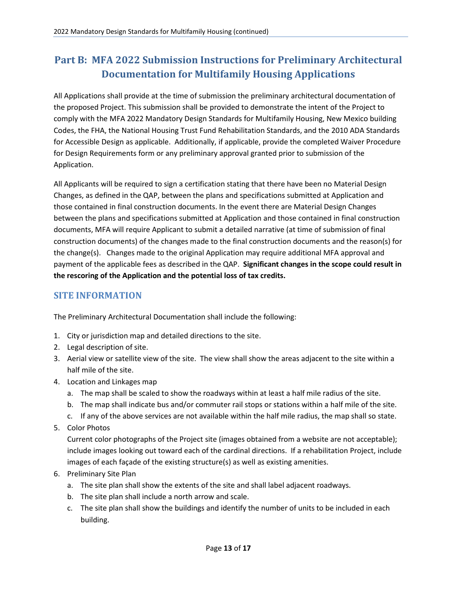# **Part B: MFA 2022 Submission Instructions for Preliminary Architectural Documentation for Multifamily Housing Applications**

All Applications shall provide at the time of submission the preliminary architectural documentation of the proposed Project. This submission shall be provided to demonstrate the intent of the Project to comply with the MFA 2022 Mandatory Design Standards for Multifamily Housing, New Mexico building Codes, the FHA, the National Housing Trust Fund Rehabilitation Standards, and the 2010 ADA Standards for Accessible Design as applicable. Additionally, if applicable, provide the completed Waiver Procedure for Design Requirements form or any preliminary approval granted prior to submission of the Application.

All Applicants will be required to sign a certification stating that there have been no Material Design Changes, as defined in the QAP, between the plans and specifications submitted at Application and those contained in final construction documents. In the event there are Material Design Changes between the plans and specifications submitted at Application and those contained in final construction documents, MFA will require Applicant to submit a detailed narrative (at time of submission of final construction documents) of the changes made to the final construction documents and the reason(s) for the change(s). Changes made to the original Application may require additional MFA approval and payment of the applicable fees as described in the QAP. **Significant changes in the scope could result in the rescoring of the Application and the potential loss of tax credits.** 

## **SITE INFORMATION**

The Preliminary Architectural Documentation shall include the following:

- 1. City or jurisdiction map and detailed directions to the site.
- 2. Legal description of site.
- 3. Aerial view or satellite view of the site. The view shall show the areas adjacent to the site within a half mile of the site.
- 4. Location and Linkages map
	- a. The map shall be scaled to show the roadways within at least a half mile radius of the site.
	- b. The map shall indicate bus and/or commuter rail stops or stations within a half mile of the site.
	- c. If any of the above services are not available within the half mile radius, the map shall so state.
- 5. Color Photos

Current color photographs of the Project site (images obtained from a website are not acceptable); include images looking out toward each of the cardinal directions. If a rehabilitation Project, include images of each façade of the existing structure(s) as well as existing amenities.

- 6. Preliminary Site Plan
	- a. The site plan shall show the extents of the site and shall label adjacent roadways.
	- b. The site plan shall include a north arrow and scale.
	- c. The site plan shall show the buildings and identify the number of units to be included in each building.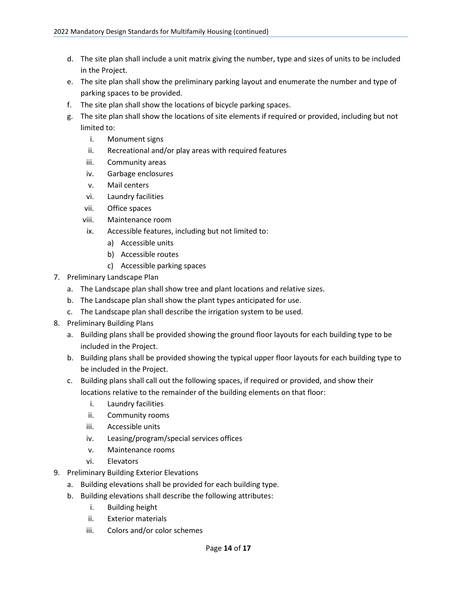- d. The site plan shall include a unit matrix giving the number, type and sizes of units to be included in the Project.
- e. The site plan shall show the preliminary parking layout and enumerate the number and type of parking spaces to be provided.
- f. The site plan shall show the locations of bicycle parking spaces.
- g. The site plan shall show the locations of site elements if required or provided, including but not limited to:
	- i. Monument signs
	- ii. Recreational and/or play areas with required features
	- iii. Community areas
	- iv. Garbage enclosures
	- v. Mail centers
	- vi. Laundry facilities
	- vii. Office spaces
	- viii. Maintenance room
	- ix. Accessible features, including but not limited to:
		- a) Accessible units
		- b) Accessible routes
		- c) Accessible parking spaces
- 7. Preliminary Landscape Plan
	- a. The Landscape plan shall show tree and plant locations and relative sizes.
	- b. The Landscape plan shall show the plant types anticipated for use.
	- c. The Landscape plan shall describe the irrigation system to be used.
- 8. Preliminary Building Plans
	- a. Building plans shall be provided showing the ground floor layouts for each building type to be included in the Project.
	- b. Building plans shall be provided showing the typical upper floor layouts for each building type to be included in the Project.
	- c. Building plans shall call out the following spaces, if required or provided, and show their locations relative to the remainder of the building elements on that floor:
		- i. Laundry facilities
		- ii. Community rooms
		- iii. Accessible units
		- iv. Leasing/program/special services offices
		- v. Maintenance rooms
		- vi. Elevators
- 9. Preliminary Building Exterior Elevations
	- a. Building elevations shall be provided for each building type.
	- b. Building elevations shall describe the following attributes:
		- i. Building height
		- ii. Exterior materials
		- iii. Colors and/or color schemes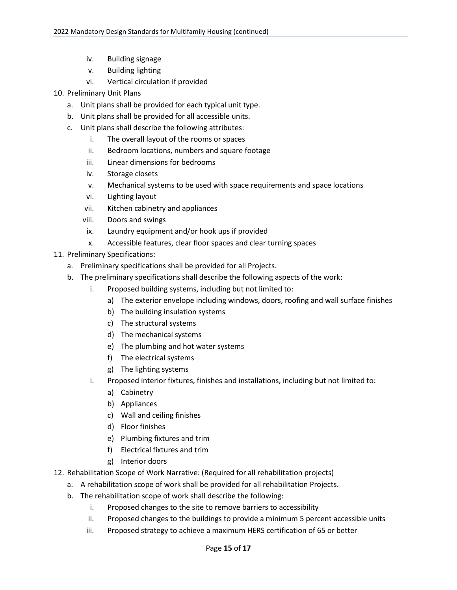- iv. Building signage
- v. Building lighting
- vi. Vertical circulation if provided
- 10. Preliminary Unit Plans
	- a. Unit plans shall be provided for each typical unit type.
	- b. Unit plans shall be provided for all accessible units.
	- c. Unit plans shall describe the following attributes:
		- i. The overall layout of the rooms or spaces
		- ii. Bedroom locations, numbers and square footage
		- iii. Linear dimensions for bedrooms
		- iv. Storage closets
		- v. Mechanical systems to be used with space requirements and space locations
		- vi. Lighting layout
		- vii. Kitchen cabinetry and appliances
		- viii. Doors and swings
		- ix. Laundry equipment and/or hook ups if provided
		- x. Accessible features, clear floor spaces and clear turning spaces
- 11. Preliminary Specifications:
	- a. Preliminary specifications shall be provided for all Projects.
	- b. The preliminary specifications shall describe the following aspects of the work:
		- i. Proposed building systems, including but not limited to:
			- a) The exterior envelope including windows, doors, roofing and wall surface finishes
			- b) The building insulation systems
			- c) The structural systems
			- d) The mechanical systems
			- e) The plumbing and hot water systems
			- f) The electrical systems
			- g) The lighting systems
		- i. Proposed interior fixtures, finishes and installations, including but not limited to:
			- a) Cabinetry
			- b) Appliances
			- c) Wall and ceiling finishes
			- d) Floor finishes
			- e) Plumbing fixtures and trim
			- f) Electrical fixtures and trim
			- g) Interior doors
- 12. Rehabilitation Scope of Work Narrative: (Required for all rehabilitation projects)
	- a. A rehabilitation scope of work shall be provided for all rehabilitation Projects.
	- b. The rehabilitation scope of work shall describe the following:
		- i. Proposed changes to the site to remove barriers to accessibility
		- ii. Proposed changes to the buildings to provide a minimum 5 percent accessible units
		- iii. Proposed strategy to achieve a maximum HERS certification of 65 or better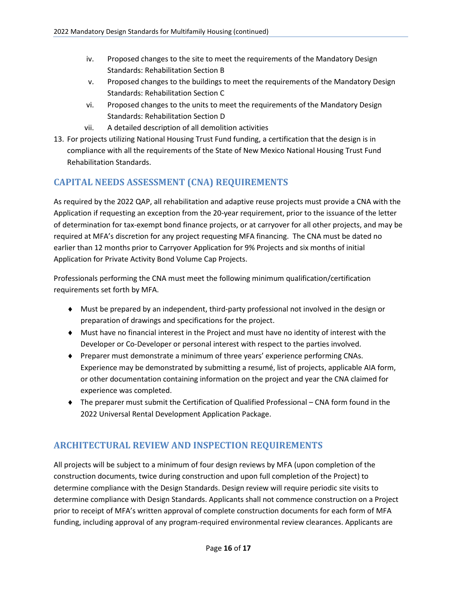- iv. Proposed changes to the site to meet the requirements of the Mandatory Design Standards: Rehabilitation Section B
- v. Proposed changes to the buildings to meet the requirements of the Mandatory Design Standards: Rehabilitation Section C
- vi. Proposed changes to the units to meet the requirements of the Mandatory Design Standards: Rehabilitation Section D
- vii. A detailed description of all demolition activities
- 13. For projects utilizing National Housing Trust Fund funding, a certification that the design is in compliance with all the requirements of the State of New Mexico National Housing Trust Fund Rehabilitation Standards.

# **CAPITAL NEEDS ASSESSMENT (CNA) REQUIREMENTS**

As required by the 2022 QAP, all rehabilitation and adaptive reuse projects must provide a CNA with the Application if requesting an exception from the 20-year requirement, prior to the issuance of the letter of determination for tax-exempt bond finance projects, or at carryover for all other projects, and may be required at MFA's discretion for any project requesting MFA financing. The CNA must be dated no earlier than 12 months prior to Carryover Application for 9% Projects and six months of initial Application for Private Activity Bond Volume Cap Projects.

Professionals performing the CNA must meet the following minimum qualification/certification requirements set forth by MFA.

- ♦ Must be prepared by an independent, third-party professional not involved in the design or preparation of drawings and specifications for the project.
- ♦ Must have no financial interest in the Project and must have no identity of interest with the Developer or Co-Developer or personal interest with respect to the parties involved.
- ♦ Preparer must demonstrate a minimum of three years' experience performing CNAs. Experience may be demonstrated by submitting a resumé, list of projects, applicable AIA form, or other documentation containing information on the project and year the CNA claimed for experience was completed.
- ♦ The preparer must submit the Certification of Qualified Professional CNA form found in the 2022 Universal Rental Development Application Package.

# **ARCHITECTURAL REVIEW AND INSPECTION REQUIREMENTS**

All projects will be subject to a minimum of four design reviews by MFA (upon completion of the construction documents, twice during construction and upon full completion of the Project) to determine compliance with the Design Standards. Design review will require periodic site visits to determine compliance with Design Standards. Applicants shall not commence construction on a Project prior to receipt of MFA's written approval of complete construction documents for each form of MFA funding, including approval of any program-required environmental review clearances. Applicants are